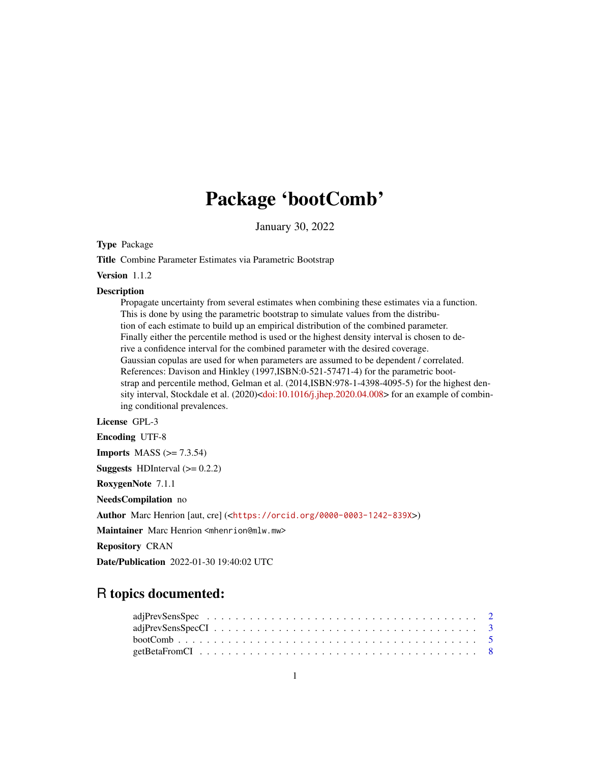# Package 'bootComb'

January 30, 2022

<span id="page-0-0"></span>Type Package

Title Combine Parameter Estimates via Parametric Bootstrap

Version 1.1.2

# Description

Propagate uncertainty from several estimates when combining these estimates via a function. This is done by using the parametric bootstrap to simulate values from the distribution of each estimate to build up an empirical distribution of the combined parameter. Finally either the percentile method is used or the highest density interval is chosen to derive a confidence interval for the combined parameter with the desired coverage. Gaussian copulas are used for when parameters are assumed to be dependent / correlated. References: Davison and Hinkley (1997,ISBN:0-521-57471-4) for the parametric bootstrap and percentile method, Gelman et al. (2014,ISBN:978-1-4398-4095-5) for the highest den-sity interval, Stockdale et al. (2020)[<doi:10.1016/j.jhep.2020.04.008>](https://doi.org/10.1016/j.jhep.2020.04.008) for an example of combining conditional prevalences.

License GPL-3

Encoding UTF-8 **Imports** MASS  $(>= 7.3.54)$ **Suggests** HDInterval  $(>= 0.2.2)$ RoxygenNote 7.1.1 NeedsCompilation no Author Marc Henrion [aut, cre] (<<https://orcid.org/0000-0003-1242-839X>>) Maintainer Marc Henrion <mhenrion@mlw.mw> Repository CRAN Date/Publication 2022-01-30 19:40:02 UTC

# R topics documented: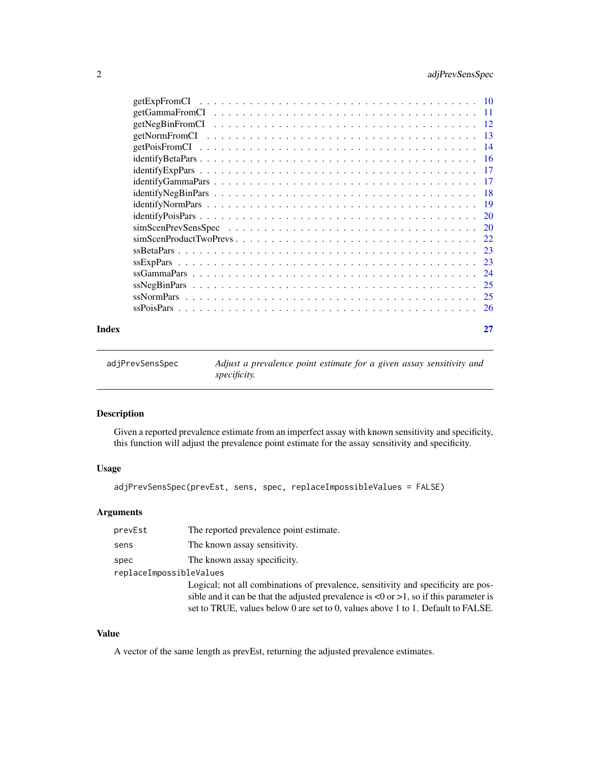# <span id="page-1-0"></span>2 adjPrevSensSpec

|       | $ssGamma = 24$ |    |
|-------|----------------|----|
|       |                |    |
|       |                |    |
|       |                |    |
| Index |                | 27 |
|       |                |    |

<span id="page-1-1"></span>

| adjPrevSensSpec | Adjust a prevalence point estimate for a given assay sensitivity and |
|-----------------|----------------------------------------------------------------------|
|                 | <i>specificity.</i>                                                  |

# Description

Given a reported prevalence estimate from an imperfect assay with known sensitivity and specificity, this function will adjust the prevalence point estimate for the assay sensitivity and specificity.

# Usage

```
adjPrevSensSpec(prevEst, sens, spec, replaceImpossibleValues = FALSE)
```
### Arguments

| prevEst                 | The reported prevalence point estimate.                                                                     |
|-------------------------|-------------------------------------------------------------------------------------------------------------|
| sens                    | The known assay sensitivity.                                                                                |
| spec                    | The known assay specificity.                                                                                |
| replaceImpossibleValues |                                                                                                             |
|                         | Logical; not all combinations of prevalence, sensitivity and specificity are pos-                           |
|                         | sible and it can be that the adjusted prevalence is $\langle 0 \text{ or } \rangle$ to if this parameter is |
|                         | set to TRUE, values below 0 are set to 0, values above 1 to 1. Default to FALSE.                            |

#### Value

A vector of the same length as prevEst, returning the adjusted prevalence estimates.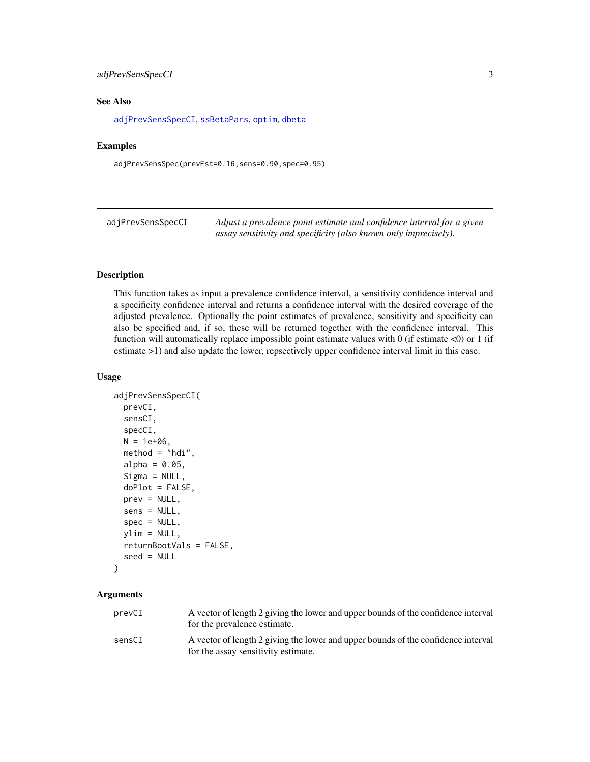#### <span id="page-2-0"></span>adjPrevSensSpecCI 3

#### See Also

[adjPrevSensSpecCI](#page-2-1), [ssBetaPars](#page-22-1), [optim](#page-0-0), [dbeta](#page-0-0)

#### Examples

adjPrevSensSpec(prevEst=0.16,sens=0.90,spec=0.95)

<span id="page-2-1"></span>adjPrevSensSpecCI *Adjust a prevalence point estimate and confidence interval for a given assay sensitivity and specificity (also known only imprecisely).*

#### Description

This function takes as input a prevalence confidence interval, a sensitivity confidence interval and a specificity confidence interval and returns a confidence interval with the desired coverage of the adjusted prevalence. Optionally the point estimates of prevalence, sensitivity and specificity can also be specified and, if so, these will be returned together with the confidence interval. This function will automatically replace impossible point estimate values with 0 (if estimate  $\langle 0 \rangle$ ) or 1 (if estimate >1) and also update the lower, repsectively upper confidence interval limit in this case.

#### Usage

```
adjPrevSensSpecCI(
 prevCI,
  sensCI,
  specCI,
 N = 1e+06,
 method = "hdi",alpha = 0.05,
  Sigma = NULL,
  doPlot = FALSE,
  prev = NULL,
  sens = NULL,
  spec = NULL,ylim = NULL,
  returnBootVals = FALSE,
  seed = NULL
)
```
#### Arguments

| prevCI | A vector of length 2 giving the lower and upper bounds of the confidence interval<br>for the prevalence estimate.        |
|--------|--------------------------------------------------------------------------------------------------------------------------|
| sensCI | A vector of length 2 giving the lower and upper bounds of the confidence interval<br>for the assay sensitivity estimate. |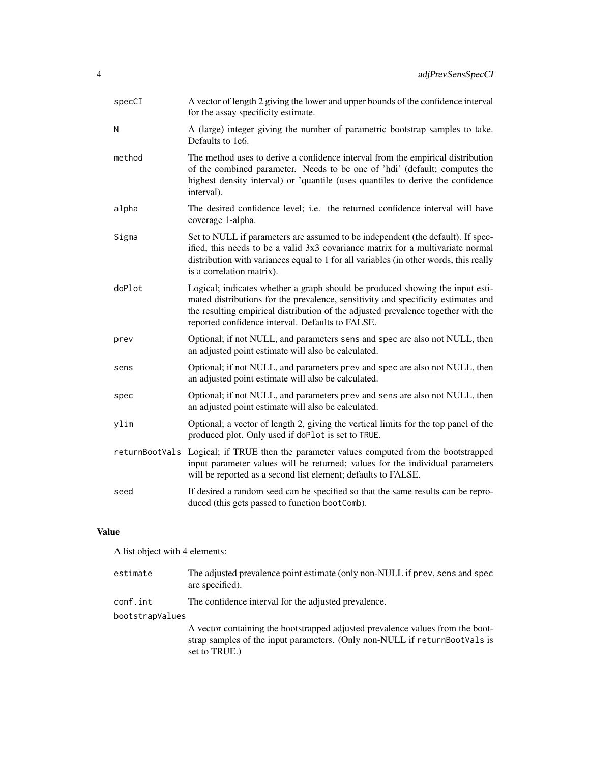| specCI | A vector of length 2 giving the lower and upper bounds of the confidence interval<br>for the assay specificity estimate.                                                                                                                                                                                    |
|--------|-------------------------------------------------------------------------------------------------------------------------------------------------------------------------------------------------------------------------------------------------------------------------------------------------------------|
| N      | A (large) integer giving the number of parametric bootstrap samples to take.<br>Defaults to 1e6.                                                                                                                                                                                                            |
| method | The method uses to derive a confidence interval from the empirical distribution<br>of the combined parameter. Needs to be one of 'hdi' (default; computes the<br>highest density interval) or 'quantile (uses quantiles to derive the confidence<br>interval).                                              |
| alpha  | The desired confidence level; i.e. the returned confidence interval will have<br>coverage 1-alpha.                                                                                                                                                                                                          |
| Sigma  | Set to NULL if parameters are assumed to be independent (the default). If spec-<br>ified, this needs to be a valid 3x3 covariance matrix for a multivariate normal<br>distribution with variances equal to 1 for all variables (in other words, this really<br>is a correlation matrix).                    |
| doPlot | Logical; indicates whether a graph should be produced showing the input esti-<br>mated distributions for the prevalence, sensitivity and specificity estimates and<br>the resulting empirical distribution of the adjusted prevalence together with the<br>reported confidence interval. Defaults to FALSE. |
| prev   | Optional; if not NULL, and parameters sens and spec are also not NULL, then<br>an adjusted point estimate will also be calculated.                                                                                                                                                                          |
| sens   | Optional; if not NULL, and parameters prev and spec are also not NULL, then<br>an adjusted point estimate will also be calculated.                                                                                                                                                                          |
| spec   | Optional; if not NULL, and parameters prev and sens are also not NULL, then<br>an adjusted point estimate will also be calculated.                                                                                                                                                                          |
| ylim   | Optional; a vector of length 2, giving the vertical limits for the top panel of the<br>produced plot. Only used if doPlot is set to TRUE.                                                                                                                                                                   |
|        | returnBootVals Logical; if TRUE then the parameter values computed from the bootstrapped<br>input parameter values will be returned; values for the individual parameters<br>will be reported as a second list element; defaults to FALSE.                                                                  |
| seed   | If desired a random seed can be specified so that the same results can be repro-<br>duced (this gets passed to function bootComb).                                                                                                                                                                          |

# Value

A list object with 4 elements:

| estimate        | The adjusted prevalence point estimate (only non-NULL if prev, sens and spec<br>are specified).                                                                               |
|-----------------|-------------------------------------------------------------------------------------------------------------------------------------------------------------------------------|
| conf.int        | The confidence interval for the adjusted prevalence.                                                                                                                          |
| bootstrapValues |                                                                                                                                                                               |
|                 | A vector containing the bootstrapped adjusted prevalence values from the boot-<br>strap samples of the input parameters. (Only non-NULL if returnBootVals is<br>set to TRUE.) |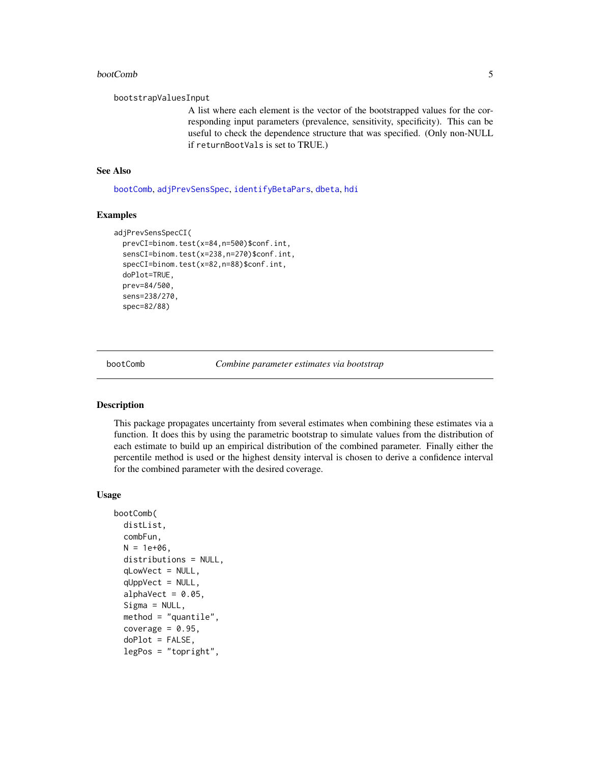#### <span id="page-4-0"></span>bootComb 5

#### bootstrapValuesInput

A list where each element is the vector of the bootstrapped values for the corresponding input parameters (prevalence, sensitivity, specificity). This can be useful to check the dependence structure that was specified. (Only non-NULL if returnBootVals is set to TRUE.)

#### See Also

[bootComb](#page-4-1), [adjPrevSensSpec](#page-1-1), [identifyBetaPars](#page-15-1), [dbeta](#page-0-0), [hdi](#page-0-0)

#### Examples

```
adjPrevSensSpecCI(
 prevCI=binom.test(x=84,n=500)$conf.int,
 sensCI=binom.test(x=238,n=270)$conf.int,
 specCI=binom.test(x=82,n=88)$conf.int,
 doPlot=TRUE,
 prev=84/500,
 sens=238/270,
 spec=82/88)
```
<span id="page-4-1"></span>bootComb *Combine parameter estimates via bootstrap*

#### Description

This package propagates uncertainty from several estimates when combining these estimates via a function. It does this by using the parametric bootstrap to simulate values from the distribution of each estimate to build up an empirical distribution of the combined parameter. Finally either the percentile method is used or the highest density interval is chosen to derive a confidence interval for the combined parameter with the desired coverage.

#### Usage

```
bootComb(
  distList,
  combFun,
  N = 1e+06,
  distributions = NULL,
  qLowVect = NULL,
  qUppVect = NULL,alphaVect = 0.05,
  Sigma = NULL,method = "quantile",
  coverage = 0.95,
  doPlot = FALSE,
  legPos = "topright",
```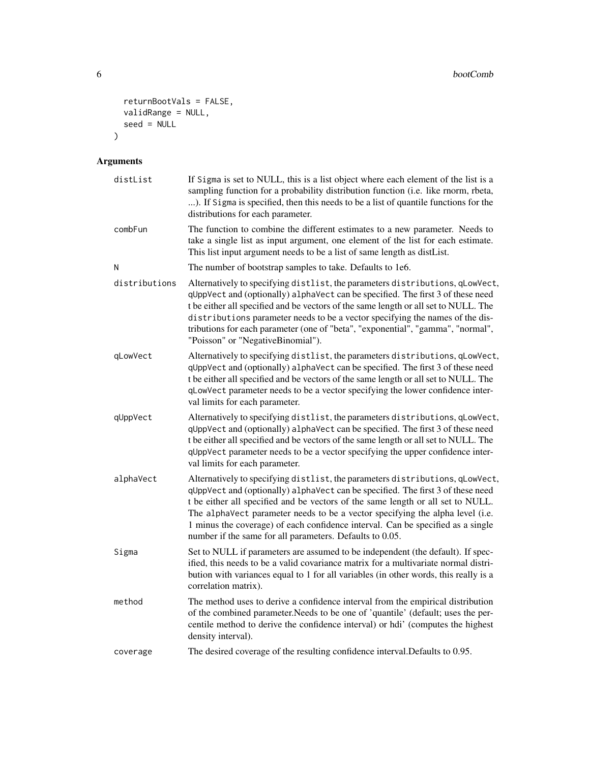```
returnBootVals = FALSE,
  validRange = NULL,
  seed = NULL)
```
# Arguments

| distList      | If Sigma is set to NULL, this is a list object where each element of the list is a<br>sampling function for a probability distribution function (i.e. like rnorm, rbeta,<br>). If Sigma is specified, then this needs to be a list of quantile functions for the<br>distributions for each parameter.                                                                                                                                                                               |
|---------------|-------------------------------------------------------------------------------------------------------------------------------------------------------------------------------------------------------------------------------------------------------------------------------------------------------------------------------------------------------------------------------------------------------------------------------------------------------------------------------------|
| combFun       | The function to combine the different estimates to a new parameter. Needs to<br>take a single list as input argument, one element of the list for each estimate.<br>This list input argument needs to be a list of same length as distList.                                                                                                                                                                                                                                         |
| N             | The number of bootstrap samples to take. Defaults to 1e6.                                                                                                                                                                                                                                                                                                                                                                                                                           |
| distributions | Alternatively to specifying distlist, the parameters distributions, qLowVect,<br>qUppVect and (optionally) alphaVect can be specified. The first 3 of these need<br>t be either all specified and be vectors of the same length or all set to NULL. The<br>distributions parameter needs to be a vector specifying the names of the dis-<br>tributions for each parameter (one of "beta", "exponential", "gamma", "normal",<br>"Poisson" or "NegativeBinomial").                    |
| qLowVect      | Alternatively to specifying distlist, the parameters distributions, qLowVect,<br>qUppVect and (optionally) alphaVect can be specified. The first 3 of these need<br>t be either all specified and be vectors of the same length or all set to NULL. The<br>qLowVect parameter needs to be a vector specifying the lower confidence inter-<br>val limits for each parameter.                                                                                                         |
| qUppVect      | Alternatively to specifying distlist, the parameters distributions, qLowVect,<br>qUppVect and (optionally) alphaVect can be specified. The first 3 of these need<br>t be either all specified and be vectors of the same length or all set to NULL. The<br>qUppVect parameter needs to be a vector specifying the upper confidence inter-<br>val limits for each parameter.                                                                                                         |
| alphaVect     | Alternatively to specifying distlist, the parameters distributions, qLowVect,<br>qUppVect and (optionally) alphaVect can be specified. The first 3 of these need<br>t be either all specified and be vectors of the same length or all set to NULL.<br>The alphaVect parameter needs to be a vector specifying the alpha level (i.e.<br>1 minus the coverage) of each confidence interval. Can be specified as a single<br>number if the same for all parameters. Defaults to 0.05. |
| Sigma         | Set to NULL if parameters are assumed to be independent (the default). If spec-<br>ified, this needs to be a valid covariance matrix for a multivariate normal distri-<br>bution with variances equal to 1 for all variables (in other words, this really is a<br>correlation matrix).                                                                                                                                                                                              |
| method        | The method uses to derive a confidence interval from the empirical distribution<br>of the combined parameter. Needs to be one of 'quantile' (default; uses the per-<br>centile method to derive the confidence interval) or hdi' (computes the highest<br>density interval).                                                                                                                                                                                                        |
| coverage      | The desired coverage of the resulting confidence interval. Defaults to 0.95.                                                                                                                                                                                                                                                                                                                                                                                                        |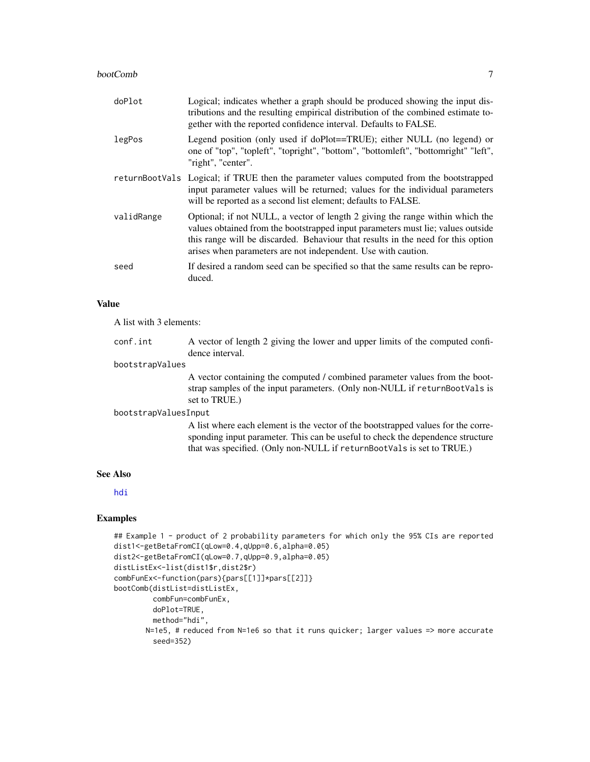#### <span id="page-6-0"></span>bootComb 7

| doPlot     | Logical; indicates whether a graph should be produced showing the input dis-<br>tributions and the resulting empirical distribution of the combined estimate to-<br>gether with the reported confidence interval. Defaults to FALSE.                                                                                  |
|------------|-----------------------------------------------------------------------------------------------------------------------------------------------------------------------------------------------------------------------------------------------------------------------------------------------------------------------|
| legPos     | Legend position (only used if doPlot==TRUE); either NULL (no legend) or<br>one of "top", "topleft", "topright", "bottom", "bottomleft", "bottomright" "left",<br>"right", "center".                                                                                                                                   |
|            | returnBootVals Logical; if TRUE then the parameter values computed from the bootstrapped<br>input parameter values will be returned; values for the individual parameters<br>will be reported as a second list element; defaults to FALSE.                                                                            |
| validRange | Optional; if not NULL, a vector of length 2 giving the range within which the<br>values obtained from the bootstrapped input parameters must lie; values outside<br>this range will be discarded. Behaviour that results in the need for this option<br>arises when parameters are not independent. Use with caution. |
| seed       | If desired a random seed can be specified so that the same results can be repro-<br>duced.                                                                                                                                                                                                                            |

#### Value

A list with 3 elements:

| conf.int        | A vector of length 2 giving the lower and upper limits of the computed confi- |
|-----------------|-------------------------------------------------------------------------------|
|                 | dence interval.                                                               |
| bootstrapValues |                                                                               |

A vector containing the computed / combined parameter values from the bootstrap samples of the input parameters. (Only non-NULL if returnBootVals is set to TRUE.)

#### bootstrapValuesInput

A list where each element is the vector of the bootstrapped values for the corresponding input parameter. This can be useful to check the dependence structure that was specified. (Only non-NULL if returnBootVals is set to TRUE.)

#### See Also

[hdi](#page-0-0)

# Examples

```
## Example 1 - product of 2 probability parameters for which only the 95% CIs are reported
dist1<-getBetaFromCI(qLow=0.4,qUpp=0.6,alpha=0.05)
dist2<-getBetaFromCI(qLow=0.7,qUpp=0.9,alpha=0.05)
distListEx<-list(dist1$r,dist2$r)
combFunEx<-function(pars){pars[[1]]*pars[[2]]}
bootComb(distList=distListEx,
        combFun=combFunEx,
        doPlot=TRUE,
        method="hdi",
       N=1e5, # reduced from N=1e6 so that it runs quicker; larger values => more accurate
        seed=352)
```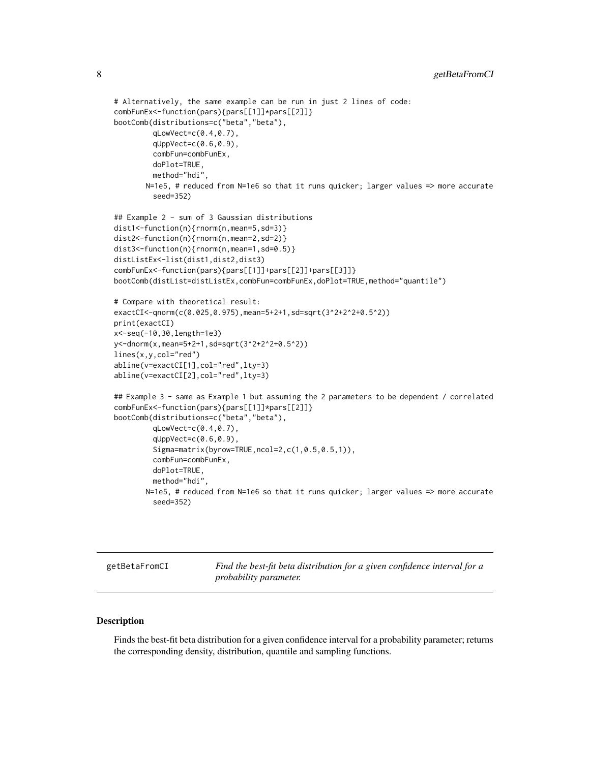```
# Alternatively, the same example can be run in just 2 lines of code:
combFunEx<-function(pars){pars[[1]]*pars[[2]]}
bootComb(distributions=c("beta","beta"),
         qLowVect=c(0.4,0.7),
         qUppVect=c(0.6,0.9),
         combFun=combFunEx,
         doPlot=TRUE,
        method="hdi",
       N=1e5, # reduced from N=1e6 so that it runs quicker; larger values => more accurate
         seed=352)
## Example 2 - sum of 3 Gaussian distributions
dist1<-function(n){rnorm(n,mean=5,sd=3)}
dist2<-function(n){rnorm(n,mean=2,sd=2)}
dist3<-function(n){rnorm(n,mean=1,sd=0.5)}
distListEx<-list(dist1,dist2,dist3)
combFunEx<-function(pars){pars[[1]]+pars[[2]]+pars[[3]]}
bootComb(distList=distListEx,combFun=combFunEx,doPlot=TRUE,method="quantile")
# Compare with theoretical result:
exactCI<-qnorm(c(0.025,0.975),mean=5+2+1,sd=sqrt(3^2+2^2+0.5^2))
print(exactCI)
x<-seq(-10,30,length=1e3)
y<-dnorm(x,mean=5+2+1,sd=sqrt(3^2+2^2+0.5^2))
lines(x,y,col="red")
abline(v=exactCI[1],col="red",lty=3)
abline(v=exactCI[2],col="red",lty=3)
## Example 3 - same as Example 1 but assuming the 2 parameters to be dependent / correlated
combFunEx<-function(pars){pars[[1]]*pars[[2]]}
bootComb(distributions=c("beta","beta"),
         qLowVect=c(0.4,0.7),
         qUppVect=c(0.6,0.9),
         Sigma=matrix(byrow=TRUE,ncol=2,c(1,0.5,0.5,1)),
         combFun=combFunEx,
         doPlot=TRUE,
         method="hdi",
       N=1e5, # reduced from N=1e6 so that it runs quicker; larger values => more accurate
         seed=352)
```
getBetaFromCI *Find the best-fit beta distribution for a given confidence interval for a probability parameter.*

#### Description

Finds the best-fit beta distribution for a given confidence interval for a probability parameter; returns the corresponding density, distribution, quantile and sampling functions.

<span id="page-7-0"></span>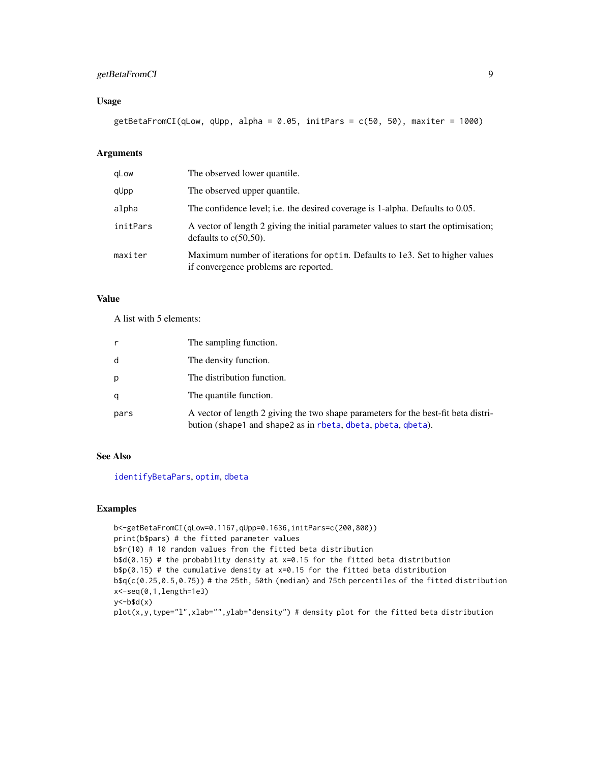#### <span id="page-8-0"></span>getBetaFromCI 9

#### Usage

getBetaFromCI(qLow, qUpp, alpha = 0.05, initPars = c(50, 50), maxiter = 1000)

# Arguments

| qLow     | The observed lower quantile.                                                                                           |
|----------|------------------------------------------------------------------------------------------------------------------------|
| qUpp     | The observed upper quantile.                                                                                           |
| alpha    | The confidence level; i.e. the desired coverage is 1-alpha. Defaults to 0.05.                                          |
| initPars | A vector of length 2 giving the initial parameter values to start the optimisation;<br>defaults to $c(50,50)$ .        |
| maxiter  | Maximum number of iterations for optim. Defaults to 1e3. Set to higher values<br>if convergence problems are reported. |

#### Value

A list with 5 elements:

|      | The sampling function.                                                                                                                             |
|------|----------------------------------------------------------------------------------------------------------------------------------------------------|
| d    | The density function.                                                                                                                              |
| р    | The distribution function.                                                                                                                         |
| a    | The quantile function.                                                                                                                             |
| pars | A vector of length 2 giving the two shape parameters for the best-fit beta distri-<br>bution (shape1 and shape2 as in rbeta, dbeta, pbeta, qbeta). |

# See Also

[identifyBetaPars](#page-15-1), [optim](#page-0-0), [dbeta](#page-0-0)

#### Examples

```
b<-getBetaFromCI(qLow=0.1167,qUpp=0.1636,initPars=c(200,800))
print(b$pars) # the fitted parameter values
b$r(10) # 10 random values from the fitted beta distribution
b$d(0.15) # the probability density at x=0.15 for the fitted beta distribution
b$p(0.15) # the cumulative density at x=0.15 for the fitted beta distribution
b$q(c(0.25,0.5,0.75)) # the 25th, 50th (median) and 75th percentiles of the fitted distribution
x<-seq(0,1,length=1e3)
y < - b$d(x)
plot(x,y,type="l",xlab="",ylab="density") # density plot for the fitted beta distribution
```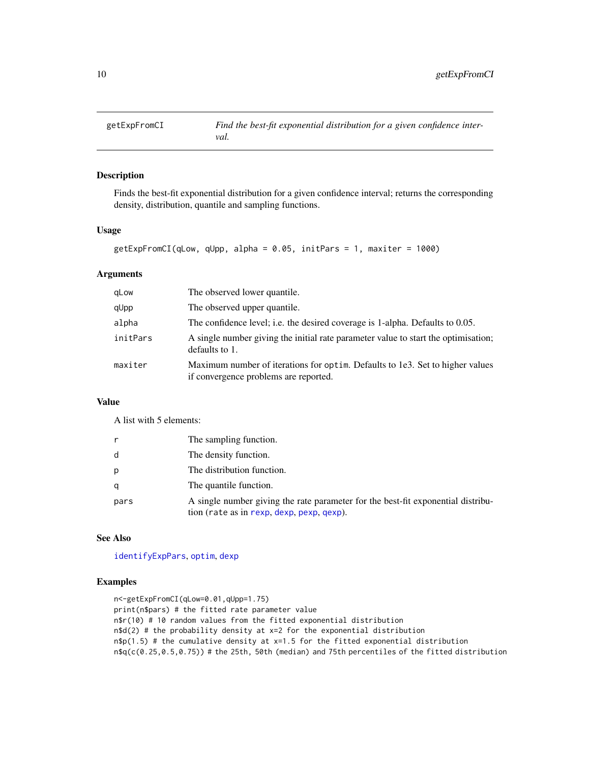<span id="page-9-0"></span>

#### Description

Finds the best-fit exponential distribution for a given confidence interval; returns the corresponding density, distribution, quantile and sampling functions.

#### Usage

```
getExpFromCI(qLow, qUpp, alpha = 0.05, initPars = 1, maxiter = 1000)
```
#### Arguments

| gLow     | The observed lower quantile.                                                                                           |
|----------|------------------------------------------------------------------------------------------------------------------------|
| qUpp     | The observed upper quantile.                                                                                           |
| alpha    | The confidence level; i.e. the desired coverage is 1-alpha. Defaults to 0.05.                                          |
| initPars | A single number giving the initial rate parameter value to start the optimisation;<br>defaults to 1.                   |
| maxiter  | Maximum number of iterations for optim. Defaults to 1e3. Set to higher values<br>if convergence problems are reported. |

# Value

A list with 5 elements:

|      | The sampling function.                                                                                                        |
|------|-------------------------------------------------------------------------------------------------------------------------------|
| d    | The density function.                                                                                                         |
| p    | The distribution function.                                                                                                    |
|      | The quantile function.                                                                                                        |
| pars | A single number giving the rate parameter for the best-fit exponential distribu-<br>tion (rate as in rexp, dexp, pexp, qexp). |

#### See Also

[identifyExpPars](#page-16-1), [optim](#page-0-0), [dexp](#page-0-0)

#### Examples

```
n<-getExpFromCI(qLow=0.01,qUpp=1.75)
print(n$pars) # the fitted rate parameter value
n$r(10) # 10 random values from the fitted exponential distribution
n$d(2) # the probability density at x=2 for the exponential distribution
n$p(1.5) # the cumulative density at x=1.5 for the fitted exponential distribution
n$q(c(0.25,0.5,0.75)) # the 25th, 50th (median) and 75th percentiles of the fitted distribution
```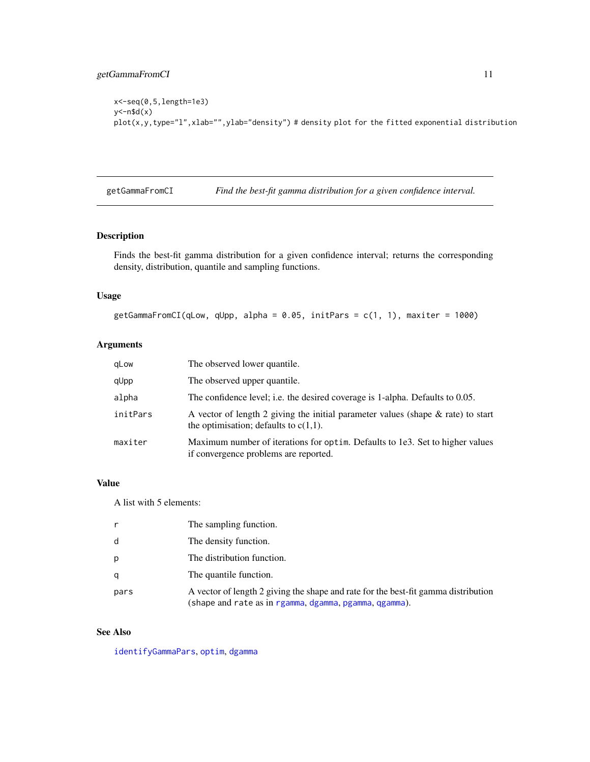```
x<-seq(0,5,length=1e3)
y <- n$d(x)plot(x,y,type="l",xlab="",ylab="density") # density plot for the fitted exponential distribution
```
getGammaFromCI *Find the best-fit gamma distribution for a given confidence interval.*

#### Description

Finds the best-fit gamma distribution for a given confidence interval; returns the corresponding density, distribution, quantile and sampling functions.

#### Usage

```
getGammaFromCI(qLow, qUpp, alpha = 0.05, initPars = c(1, 1), maxiter = 1000)
```
#### Arguments

| gLow     | The observed lower quantile.                                                                                                    |
|----------|---------------------------------------------------------------------------------------------------------------------------------|
| qUpp     | The observed upper quantile.                                                                                                    |
| alpha    | The confidence level; i.e. the desired coverage is 1-alpha. Defaults to 0.05.                                                   |
| initPars | A vector of length 2 giving the initial parameter values (shape $\&$ rate) to start<br>the optimisation; defaults to $c(1,1)$ . |
| maxiter  | Maximum number of iterations for optim. Defaults to 1e3. Set to higher values<br>if convergence problems are reported.          |

#### Value

A list with 5 elements:

| r    | The sampling function.                                                                                                                       |
|------|----------------------------------------------------------------------------------------------------------------------------------------------|
| d    | The density function.                                                                                                                        |
| p    | The distribution function.                                                                                                                   |
|      | The quantile function.                                                                                                                       |
| pars | A vector of length 2 giving the shape and rate for the best-fit gamma distribution<br>(shape and rate as in rgamma, dgamma, pgamma, qgamma). |

#### See Also

[identifyGammaPars](#page-16-2), [optim](#page-0-0), [dgamma](#page-0-0)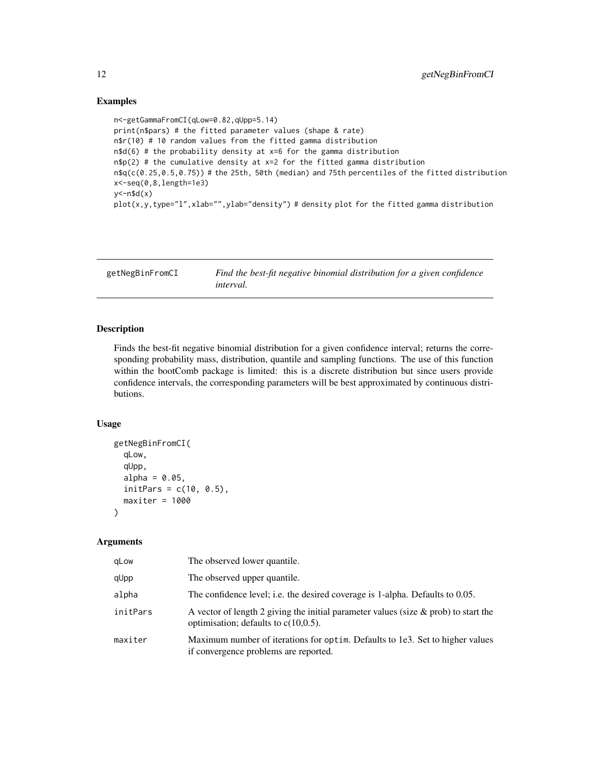#### Examples

```
n<-getGammaFromCI(qLow=0.82,qUpp=5.14)
print(n$pars) # the fitted parameter values (shape & rate)
n$r(10) # 10 random values from the fitted gamma distribution
n$d(6) # the probability density at x=6 for the gamma distribution
n$p(2) # the cumulative density at x=2 for the fitted gamma distribution
n$q(c(0.25,0.5,0.75)) # the 25th, 50th (median) and 75th percentiles of the fitted distribution
x<-seq(0,8,length=1e3)
y < -n$d(x)plot(x,y,type="1",xlabel="', ylabel="density") # density plot for the fitted gamma distribution
```

| getNegBinFromCI | Find the best-fit negative binomial distribution for a given confidence |
|-----------------|-------------------------------------------------------------------------|
|                 | <i>interval.</i>                                                        |

#### Description

Finds the best-fit negative binomial distribution for a given confidence interval; returns the corresponding probability mass, distribution, quantile and sampling functions. The use of this function within the bootComb package is limited: this is a discrete distribution but since users provide confidence intervals, the corresponding parameters will be best approximated by continuous distributions.

#### Usage

```
getNegBinFromCI(
  qLow,
  qUpp,
  alpha = 0.05,
  initParts = c(10, 0.5),
  maxiter = 1000)
```
#### Arguments

| aLow     | The observed lower quantile.                                                                                                      |
|----------|-----------------------------------------------------------------------------------------------------------------------------------|
| qUpp     | The observed upper quantile.                                                                                                      |
| alpha    | The confidence level; i.e. the desired coverage is 1-alpha. Defaults to 0.05.                                                     |
| initPars | A vector of length 2 giving the initial parameter values (size $\&$ prob) to start the<br>optimisation; defaults to $c(10,0.5)$ . |
| maxiter  | Maximum number of iterations for optim. Defaults to 1e3. Set to higher values<br>if convergence problems are reported.            |

<span id="page-11-0"></span>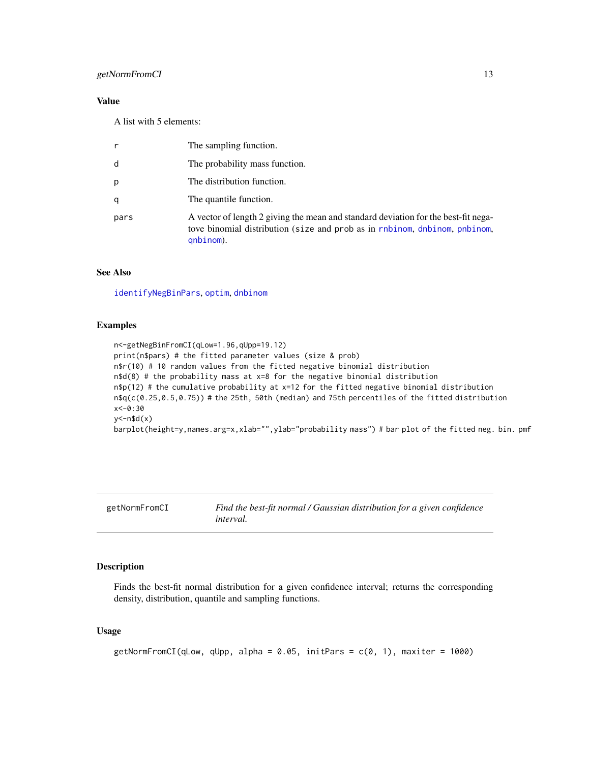#### <span id="page-12-0"></span>getNormFromCI 13

#### Value

A list with 5 elements:

| The sampling function.                                                                                                                                                        |
|-------------------------------------------------------------------------------------------------------------------------------------------------------------------------------|
| The probability mass function.                                                                                                                                                |
| The distribution function.                                                                                                                                                    |
| The quantile function.                                                                                                                                                        |
| A vector of length 2 giving the mean and standard deviation for the best-fit nega-<br>tove binomial distribution (size and prob as in rnbinom, dnbinom, pnbinom,<br>qnbinom). |
|                                                                                                                                                                               |

#### See Also

[identifyNegBinPars](#page-17-1), [optim](#page-0-0), [dnbinom](#page-0-0)

#### Examples

```
n<-getNegBinFromCI(qLow=1.96,qUpp=19.12)
print(n$pars) # the fitted parameter values (size & prob)
n$r(10) # 10 random values from the fitted negative binomial distribution
n$d(8) # the probability mass at x=8 for the negative binomial distribution
n$p(12) # the cumulative probability at x=12 for the fitted negative binomial distribution
n$q(c(0.25,0.5,0.75)) # the 25th, 50th (median) and 75th percentiles of the fitted distribution
x<-0:30
y < - n$d(x)barplot(height=y,names.arg=x,xlab="",ylab="probability mass") # bar plot of the fitted neg. bin. pmf
```
getNormFromCI *Find the best-fit normal / Gaussian distribution for a given confidence interval.*

#### Description

Finds the best-fit normal distribution for a given confidence interval; returns the corresponding density, distribution, quantile and sampling functions.

#### Usage

getNormFromCI(qLow, qUpp, alpha =  $0.05$ , initPars =  $c(0, 1)$ , maxiter = 1000)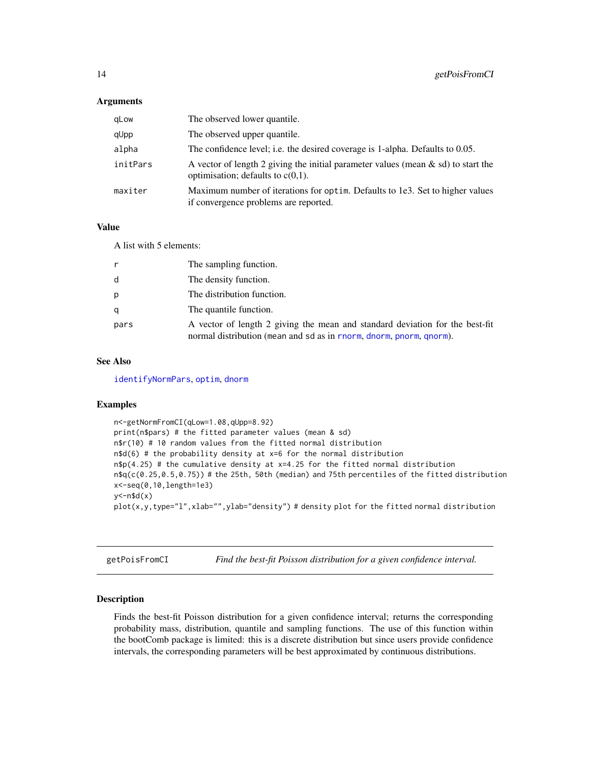#### <span id="page-13-0"></span>**Arguments**

| qLow     | The observed lower quantile.                                                                                                 |
|----------|------------------------------------------------------------------------------------------------------------------------------|
| qUpp     | The observed upper quantile.                                                                                                 |
| alpha    | The confidence level; i.e. the desired coverage is 1-alpha. Defaults to 0.05.                                                |
| initPars | A vector of length 2 giving the initial parameter values (mean $\&$ sd) to start the<br>optimisation; defaults to $c(0,1)$ . |
| maxiter  | Maximum number of iterations for optim. Defaults to 1e3. Set to higher values<br>if convergence problems are reported.       |

#### Value

A list with 5 elements:

| r    | The sampling function.                                                                                                                              |
|------|-----------------------------------------------------------------------------------------------------------------------------------------------------|
| d    | The density function.                                                                                                                               |
| p    | The distribution function.                                                                                                                          |
| q    | The quantile function.                                                                                                                              |
| pars | A vector of length 2 giving the mean and standard deviation for the best-fit<br>normal distribution (mean and sd as in rnorm, dnorm, pnorm, qnorm). |

#### See Also

[identifyNormPars](#page-18-1), [optim](#page-0-0), [dnorm](#page-0-0)

#### Examples

```
n<-getNormFromCI(qLow=1.08,qUpp=8.92)
print(n$pars) # the fitted parameter values (mean & sd)
n$r(10) # 10 random values from the fitted normal distribution
n$d(6) # the probability density at x=6 for the normal distribution
n$p(4.25) # the cumulative density at x=4.25 for the fitted normal distribution
n$q(c(0.25,0.5,0.75)) # the 25th, 50th (median) and 75th percentiles of the fitted distribution
x<-seq(0,10,length=1e3)
y < - n$d(x)plot(x,y,type="1",xlabel="',y)lab="density") # density plot for the fitted normal distribution
```
getPoisFromCI *Find the best-fit Poisson distribution for a given confidence interval.*

#### Description

Finds the best-fit Poisson distribution for a given confidence interval; returns the corresponding probability mass, distribution, quantile and sampling functions. The use of this function within the bootComb package is limited: this is a discrete distribution but since users provide confidence intervals, the corresponding parameters will be best approximated by continuous distributions.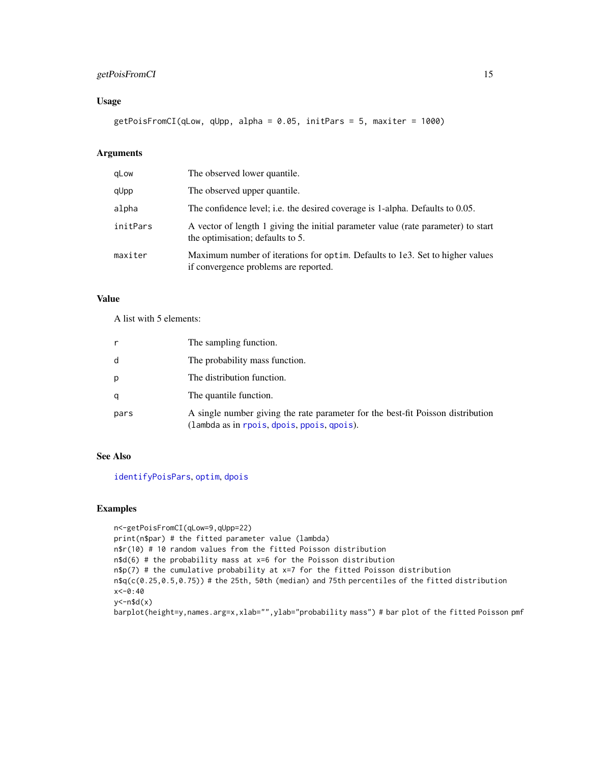#### <span id="page-14-0"></span>getPoisFromCI 15

#### Usage

getPoisFromCI(qLow, qUpp, alpha = 0.05, initPars = 5, maxiter = 1000)

# Arguments

| qLow     | The observed lower quantile.                                                                                           |
|----------|------------------------------------------------------------------------------------------------------------------------|
| qUpp     | The observed upper quantile.                                                                                           |
| alpha    | The confidence level; i.e. the desired coverage is 1-alpha. Defaults to 0.05.                                          |
| initPars | A vector of length 1 giving the initial parameter value (rate parameter) to start<br>the optimisation; defaults to 5.  |
| maxiter  | Maximum number of iterations for optim. Defaults to 1e3. Set to higher values<br>if convergence problems are reported. |

#### Value

A list with 5 elements:

|      | The sampling function.                                                                                                        |
|------|-------------------------------------------------------------------------------------------------------------------------------|
| d    | The probability mass function.                                                                                                |
| p    | The distribution function.                                                                                                    |
| q    | The quantile function.                                                                                                        |
| pars | A single number giving the rate parameter for the best-fit Poisson distribution<br>(lambda as in rpois, dpois, ppois, qpois). |

# See Also

[identifyPoisPars](#page-19-1), [optim](#page-0-0), [dpois](#page-0-0)

#### Examples

```
n<-getPoisFromCI(qLow=9,qUpp=22)
print(n$par) # the fitted parameter value (lambda)
n$r(10) # 10 random values from the fitted Poisson distribution
n$d(6) # the probability mass at x=6 for the Poisson distribution
n$p(7) # the cumulative probability at x=7 for the fitted Poisson distribution
n$q(c(0.25,0.5,0.75)) # the 25th, 50th (median) and 75th percentiles of the fitted distribution
x<-0:40
y < - n$d(x)barplot(height=y,names.arg=x,xlab="",ylab="probability mass") # bar plot of the fitted Poisson pmf
```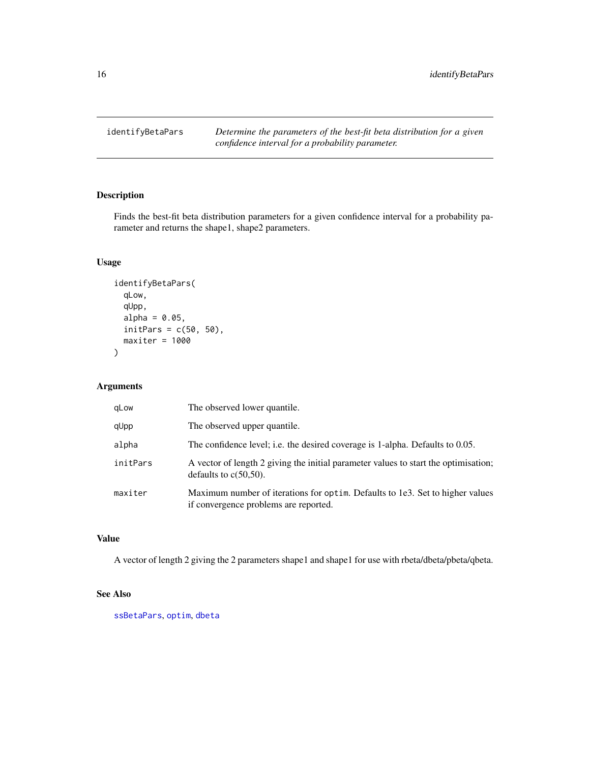<span id="page-15-1"></span><span id="page-15-0"></span>identifyBetaPars *Determine the parameters of the best-fit beta distribution for a given confidence interval for a probability parameter.*

#### Description

Finds the best-fit beta distribution parameters for a given confidence interval for a probability parameter and returns the shape1, shape2 parameters.

#### Usage

```
identifyBetaPars(
  qLow,
  qUpp,
 alpha = 0.05,
 initPers = c(50, 50),
 maxiter = 1000)
```
#### Arguments

| gLow     | The observed lower quantile.                                                                                           |
|----------|------------------------------------------------------------------------------------------------------------------------|
| qUpp     | The observed upper quantile.                                                                                           |
| alpha    | The confidence level; i.e. the desired coverage is 1-alpha. Defaults to 0.05.                                          |
| initPars | A vector of length 2 giving the initial parameter values to start the optimisation;<br>defaults to $c(50,50)$ .        |
| maxiter  | Maximum number of iterations for optim. Defaults to 1e3. Set to higher values<br>if convergence problems are reported. |

#### Value

A vector of length 2 giving the 2 parameters shape1 and shape1 for use with rbeta/dbeta/pbeta/qbeta.

#### See Also

[ssBetaPars](#page-22-1), [optim](#page-0-0), [dbeta](#page-0-0)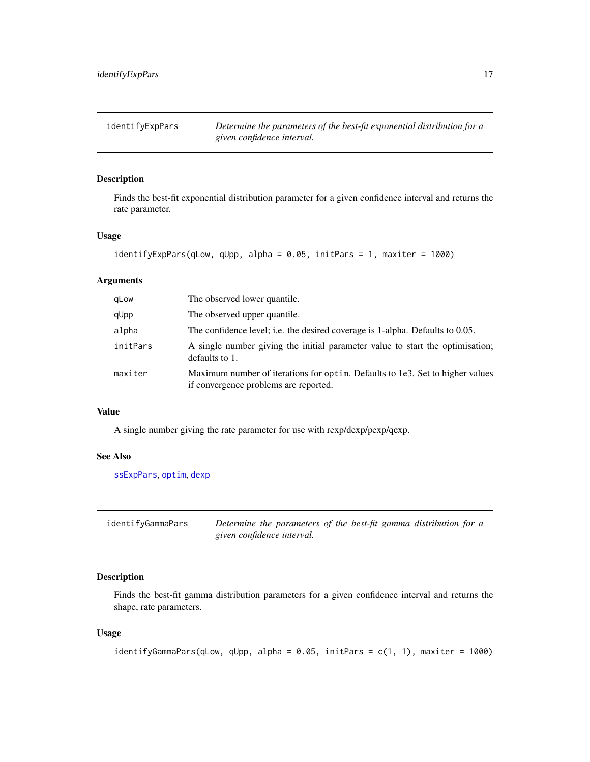<span id="page-16-1"></span><span id="page-16-0"></span>

# Description

Finds the best-fit exponential distribution parameter for a given confidence interval and returns the rate parameter.

#### Usage

```
identifyExpPars(qLow, qUpp, alpha = 0.05, initPars = 1, maxiter = 1000)
```
### Arguments

| gLow     | The observed lower quantile.                                                                                           |
|----------|------------------------------------------------------------------------------------------------------------------------|
| qUpp     | The observed upper quantile.                                                                                           |
| alpha    | The confidence level; i.e. the desired coverage is 1-alpha. Defaults to 0.05.                                          |
| initPars | A single number giving the initial parameter value to start the optimisation;<br>defaults to 1.                        |
| maxiter  | Maximum number of iterations for optim. Defaults to 1e3. Set to higher values<br>if convergence problems are reported. |

#### Value

A single number giving the rate parameter for use with rexp/dexp/pexp/qexp.

#### See Also

[ssExpPars](#page-22-2), [optim](#page-0-0), [dexp](#page-0-0)

<span id="page-16-2"></span>

| identifyGammaPars | Determine the parameters of the best-fit gamma distribution for a |
|-------------------|-------------------------------------------------------------------|
|                   | given confidence interval.                                        |

#### Description

Finds the best-fit gamma distribution parameters for a given confidence interval and returns the shape, rate parameters.

#### Usage

```
identifyGammaPars(qLow, qUpp, alpha = 0.05, initPars = c(1, 1), maxiter = 1000)
```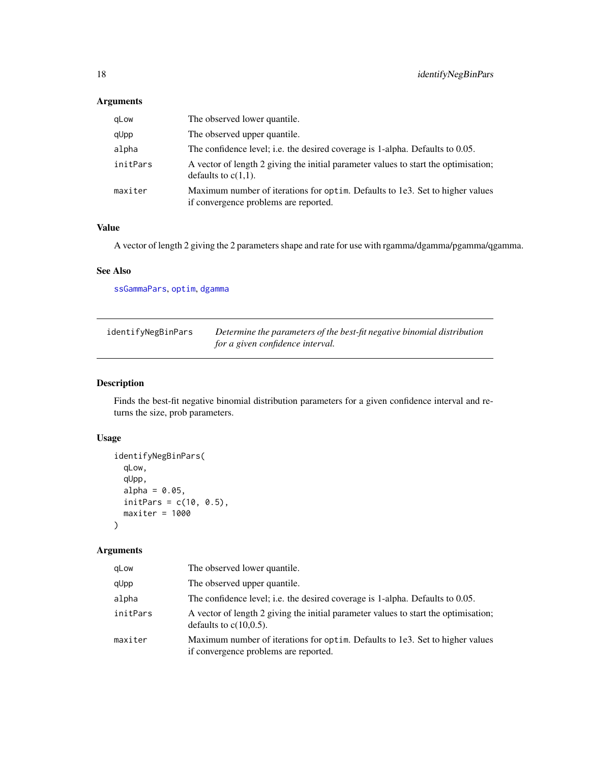## <span id="page-17-0"></span>Arguments

| qLow     | The observed lower quantile.                                                                                           |
|----------|------------------------------------------------------------------------------------------------------------------------|
| qUpp     | The observed upper quantile.                                                                                           |
| alpha    | The confidence level; i.e. the desired coverage is 1-alpha. Defaults to 0.05.                                          |
| initPars | A vector of length 2 giving the initial parameter values to start the optimisation;<br>defaults to $c(1,1)$ .          |
| maxiter  | Maximum number of iterations for optim. Defaults to 1e3. Set to higher values<br>if convergence problems are reported. |

# Value

A vector of length 2 giving the 2 parameters shape and rate for use with rgamma/dgamma/pgamma/qgamma.

# See Also

[ssGammaPars](#page-23-1), [optim](#page-0-0), [dgamma](#page-0-0)

<span id="page-17-1"></span>

| identifyNegBinPars | Determine the parameters of the best-fit negative binomial distribution |
|--------------------|-------------------------------------------------------------------------|
|                    | for a given confidence interval.                                        |

### Description

Finds the best-fit negative binomial distribution parameters for a given confidence interval and returns the size, prob parameters.

#### Usage

```
identifyNegBinPars(
 qLow,
  qUpp,
  alpha = 0.05,
  initParts = c(10, 0.5),
 maxiter = 1000
\lambda
```
# Arguments

| aLow     | The observed lower quantile.                                                                                           |
|----------|------------------------------------------------------------------------------------------------------------------------|
| qUpp     | The observed upper quantile.                                                                                           |
| alpha    | The confidence level; i.e. the desired coverage is 1-alpha. Defaults to 0.05.                                          |
| initPars | A vector of length 2 giving the initial parameter values to start the optimisation;<br>defaults to $c(10,0.5)$ .       |
| maxiter  | Maximum number of iterations for optim. Defaults to 1e3. Set to higher values<br>if convergence problems are reported. |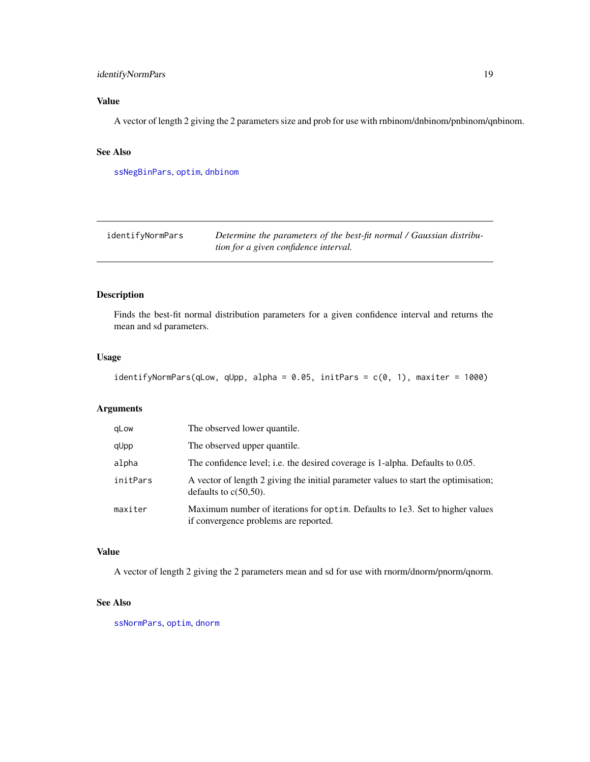#### <span id="page-18-0"></span>identifyNormPars 19

# Value

A vector of length 2 giving the 2 parameters size and prob for use with rnbinom/dnbinom/pnbinom/qnbinom.

#### See Also

[ssNegBinPars](#page-24-1), [optim](#page-0-0), [dnbinom](#page-0-0)

<span id="page-18-1"></span>

| identifyNormPars | Determine the parameters of the best-fit normal / Gaussian distribu- |
|------------------|----------------------------------------------------------------------|
|                  | tion for a given confidence interval.                                |

#### Description

Finds the best-fit normal distribution parameters for a given confidence interval and returns the mean and sd parameters.

#### Usage

```
identifyNormPars(qLow, qUpp, alpha = 0.05, initPars = c(0, 1), maxiter = 1000)
```
#### Arguments

| gLow     | The observed lower quantile.                                                                                           |
|----------|------------------------------------------------------------------------------------------------------------------------|
| qUpp     | The observed upper quantile.                                                                                           |
| alpha    | The confidence level; i.e. the desired coverage is 1-alpha. Defaults to 0.05.                                          |
| initPars | A vector of length 2 giving the initial parameter values to start the optimisation;<br>defaults to $c(50,50)$ .        |
| maxiter  | Maximum number of iterations for optim. Defaults to 1e3. Set to higher values<br>if convergence problems are reported. |

#### Value

A vector of length 2 giving the 2 parameters mean and sd for use with rnorm/dnorm/pnorm/qnorm.

#### See Also

[ssNormPars](#page-24-2), [optim](#page-0-0), [dnorm](#page-0-0)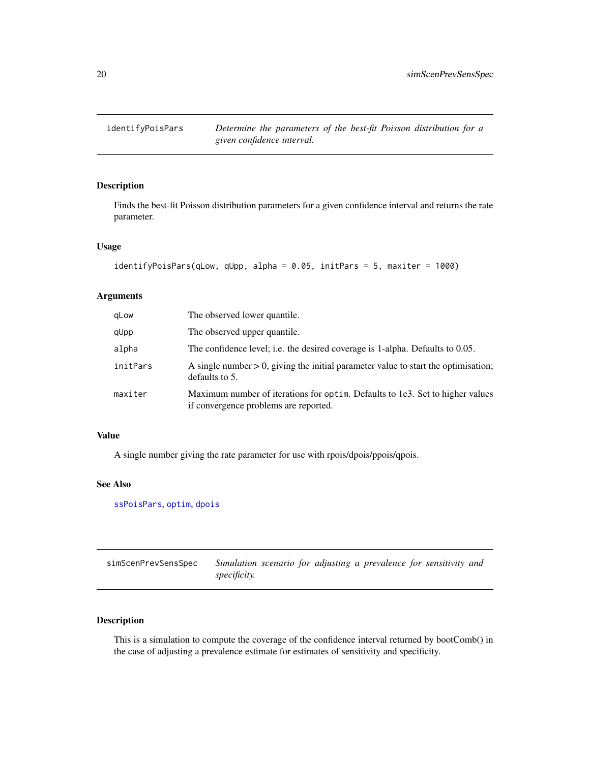<span id="page-19-1"></span><span id="page-19-0"></span>

#### Description

Finds the best-fit Poisson distribution parameters for a given confidence interval and returns the rate parameter.

#### Usage

```
identifyPoisPars(qLow, qUpp, alpha = 0.05, initPars = 5, maxiter = 1000)
```
#### Arguments

| gLow     | The observed lower quantile.                                                                                           |
|----------|------------------------------------------------------------------------------------------------------------------------|
| qUpp     | The observed upper quantile.                                                                                           |
| alpha    | The confidence level; i.e. the desired coverage is 1-alpha. Defaults to 0.05.                                          |
| initPars | A single number $> 0$ , giving the initial parameter value to start the optimisation;<br>defaults to 5.                |
| maxiter  | Maximum number of iterations for optim. Defaults to 1e3. Set to higher values<br>if convergence problems are reported. |

# Value

A single number giving the rate parameter for use with rpois/dpois/ppois/qpois.

#### See Also

[ssPoisPars](#page-25-1), [optim](#page-0-0), [dpois](#page-0-0)

| simScenPrevSensSpec | Simulation scenario for adjusting a prevalence for sensitivity and |
|---------------------|--------------------------------------------------------------------|
|                     | <i>specificity.</i>                                                |

### Description

This is a simulation to compute the coverage of the confidence interval returned by bootComb() in the case of adjusting a prevalence estimate for estimates of sensitivity and specificity.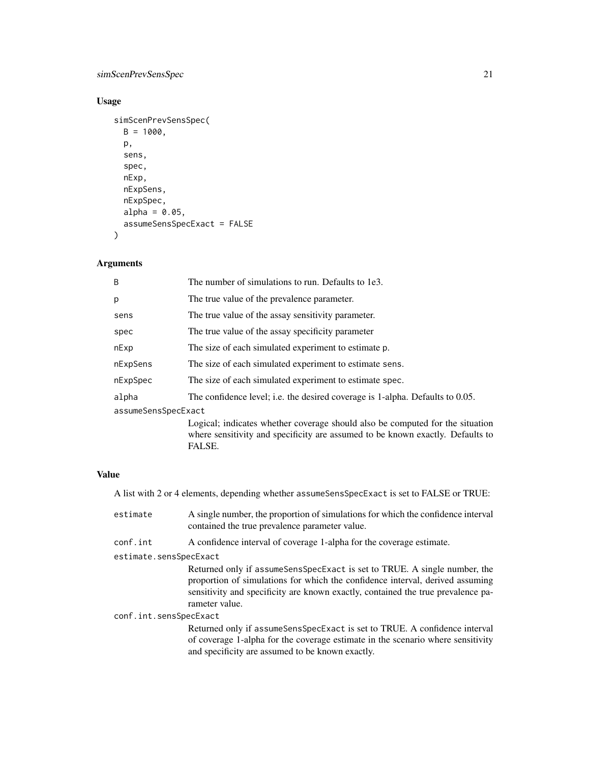# simScenPrevSensSpec 21

# Usage

```
simScenPrevSensSpec(
 B = 1000,p,
  sens,
 spec,
 nExp,
 nExpSens,
 nExpSpec,
 alpha = 0.05,
  assumeSensSpecExact = FALSE
\mathcal{L}
```
# Arguments

| B                   | The number of simulations to run. Defaults to 1e3.                                                                                                                        |  |
|---------------------|---------------------------------------------------------------------------------------------------------------------------------------------------------------------------|--|
| p                   | The true value of the prevalence parameter.                                                                                                                               |  |
| sens                | The true value of the assay sensitivity parameter.                                                                                                                        |  |
| spec                | The true value of the assay specificity parameter                                                                                                                         |  |
| nExp                | The size of each simulated experiment to estimate p.                                                                                                                      |  |
| nExpSens            | The size of each simulated experiment to estimate sens.                                                                                                                   |  |
| nExpSpec            | The size of each simulated experiment to estimate spec.                                                                                                                   |  |
| alpha               | The confidence level; i.e. the desired coverage is 1-alpha. Defaults to 0.05.                                                                                             |  |
| assumeSensSpecExact |                                                                                                                                                                           |  |
|                     | Logical; indicates whether coverage should also be computed for the situation<br>where sensitivity and specificity are assumed to be known exactly. Defaults to<br>FALSE. |  |

#### Value

A list with 2 or 4 elements, depending whether assumeSensSpecExact is set to FALSE or TRUE:

| estimate               | A single number, the proportion of simulations for which the confidence interval<br>contained the true prevalence parameter value.                                                                                                                                  |  |
|------------------------|---------------------------------------------------------------------------------------------------------------------------------------------------------------------------------------------------------------------------------------------------------------------|--|
| conf.int               | A confidence interval of coverage 1-alpha for the coverage estimate.                                                                                                                                                                                                |  |
| estimate.sensSpecExact |                                                                                                                                                                                                                                                                     |  |
|                        | Returned only if assume Sens Spec Exact is set to TRUE. A single number, the<br>proportion of simulations for which the confidence interval, derived assuming<br>sensitivity and specificity are known exactly, contained the true prevalence pa-<br>rameter value. |  |
| conf.int.sensSpecExact |                                                                                                                                                                                                                                                                     |  |
|                        | Returned only if assume Sens Spec Exact is set to TRUE. A confidence interval<br>of coverage 1-alpha for the coverage estimate in the scenario where sensitivity<br>and specificity are assumed to be known exactly.                                                |  |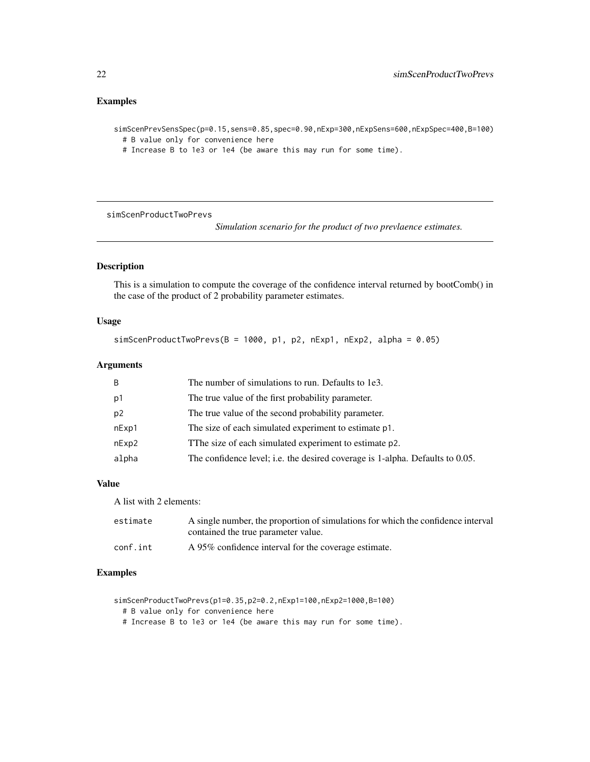#### <span id="page-21-0"></span>Examples

simScenPrevSensSpec(p=0.15,sens=0.85,spec=0.90,nExp=300,nExpSens=600,nExpSpec=400,B=100) # B value only for convenience here

# Increase B to 1e3 or 1e4 (be aware this may run for some time).

simScenProductTwoPrevs

*Simulation scenario for the product of two prevlaence estimates.*

#### Description

This is a simulation to compute the coverage of the confidence interval returned by bootComb() in the case of the product of 2 probability parameter estimates.

#### Usage

```
simScenProductTwoPress(B = 1000, p1, p2, nExp1, nExp2, alpha = 0.05)
```
#### Arguments

| B              | The number of simulations to run. Defaults to 1e3.                            |
|----------------|-------------------------------------------------------------------------------|
| p1             | The true value of the first probability parameter.                            |
| p <sub>2</sub> | The true value of the second probability parameter.                           |
| nExp1          | The size of each simulated experiment to estimate p1.                         |
| nExp2          | The size of each simulated experiment to estimate p2.                         |
| alpha          | The confidence level; i.e. the desired coverage is 1-alpha. Defaults to 0.05. |

#### Value

A list with 2 elements:

| estimate | A single number, the proportion of simulations for which the confidence interval<br>contained the true parameter value. |
|----------|-------------------------------------------------------------------------------------------------------------------------|
| conf.int | A 95% confidence interval for the coverage estimate.                                                                    |

#### Examples

```
simScenProductTwoPrevs(p1=0.35,p2=0.2,nExp1=100,nExp2=1000,B=100)
```
- # B value only for convenience here
- # Increase B to 1e3 or 1e4 (be aware this may run for some time).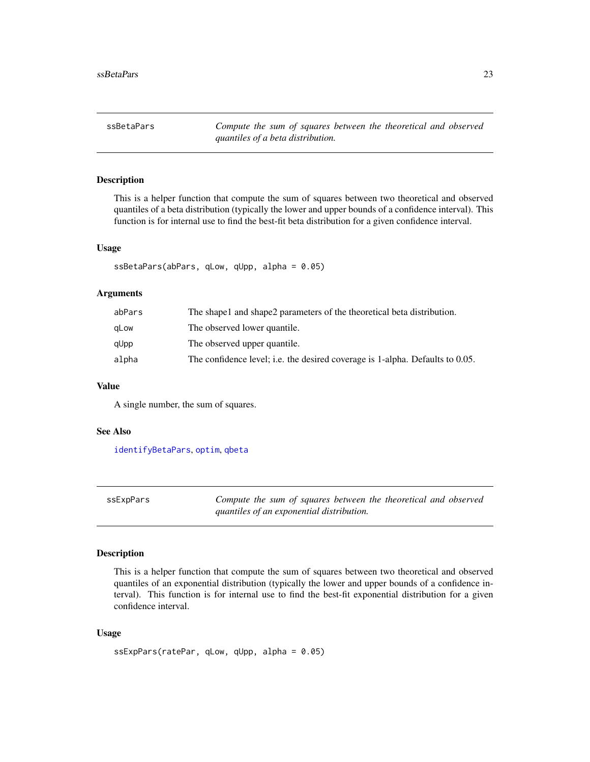<span id="page-22-1"></span><span id="page-22-0"></span>ssBetaPars *Compute the sum of squares between the theoretical and observed quantiles of a beta distribution.*

#### Description

This is a helper function that compute the sum of squares between two theoretical and observed quantiles of a beta distribution (typically the lower and upper bounds of a confidence interval). This function is for internal use to find the best-fit beta distribution for a given confidence interval.

#### Usage

```
ssBetaPars(abPars, qLow, qUpp, alpha = 0.05)
```
#### Arguments

| abPars | The shape and shape 2 parameters of the theoretical beta distribution.        |
|--------|-------------------------------------------------------------------------------|
| aLow   | The observed lower quantile.                                                  |
| qUpp   | The observed upper quantile.                                                  |
| alpha  | The confidence level; i.e. the desired coverage is 1-alpha. Defaults to 0.05. |

#### Value

A single number, the sum of squares.

#### See Also

[identifyBetaPars](#page-15-1), [optim](#page-0-0), [qbeta](#page-0-0)

<span id="page-22-2"></span>

| ssExpPars | Compute the sum of squares between the theoretical and observed |
|-----------|-----------------------------------------------------------------|
|           | quantiles of an exponential distribution.                       |

#### Description

This is a helper function that compute the sum of squares between two theoretical and observed quantiles of an exponential distribution (typically the lower and upper bounds of a confidence interval). This function is for internal use to find the best-fit exponential distribution for a given confidence interval.

#### Usage

```
ssExpPars(ratePar, qLow, qUpp, alpha = 0.05)
```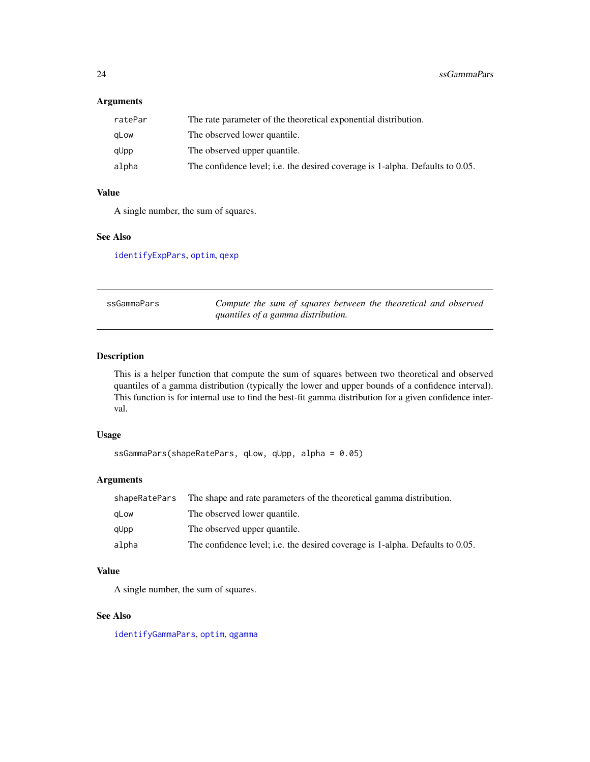#### <span id="page-23-0"></span>Arguments

| ratePar | The rate parameter of the theoretical exponential distribution.               |
|---------|-------------------------------------------------------------------------------|
| gLow    | The observed lower quantile.                                                  |
| qUpp    | The observed upper quantile.                                                  |
| alpha   | The confidence level; i.e. the desired coverage is 1-alpha. Defaults to 0.05. |
|         |                                                                               |

#### Value

A single number, the sum of squares.

#### See Also

[identifyExpPars](#page-16-1), [optim](#page-0-0), [qexp](#page-0-0)

<span id="page-23-1"></span>

| ssGammaPars | Compute the sum of squares between the theoretical and observed |
|-------------|-----------------------------------------------------------------|
|             | quantiles of a gamma distribution.                              |

#### Description

This is a helper function that compute the sum of squares between two theoretical and observed quantiles of a gamma distribution (typically the lower and upper bounds of a confidence interval). This function is for internal use to find the best-fit gamma distribution for a given confidence interval.

#### Usage

```
ssGammaPars(shapeRatePars, qLow, qUpp, alpha = 0.05)
```
#### Arguments

| shapeRatePars | The shape and rate parameters of the theoretical gamma distribution.          |
|---------------|-------------------------------------------------------------------------------|
| aLow          | The observed lower quantile.                                                  |
| qUpp          | The observed upper quantile.                                                  |
| alpha         | The confidence level; i.e. the desired coverage is 1-alpha. Defaults to 0.05. |

### Value

A single number, the sum of squares.

# See Also

[identifyGammaPars](#page-16-2), [optim](#page-0-0), [qgamma](#page-0-0)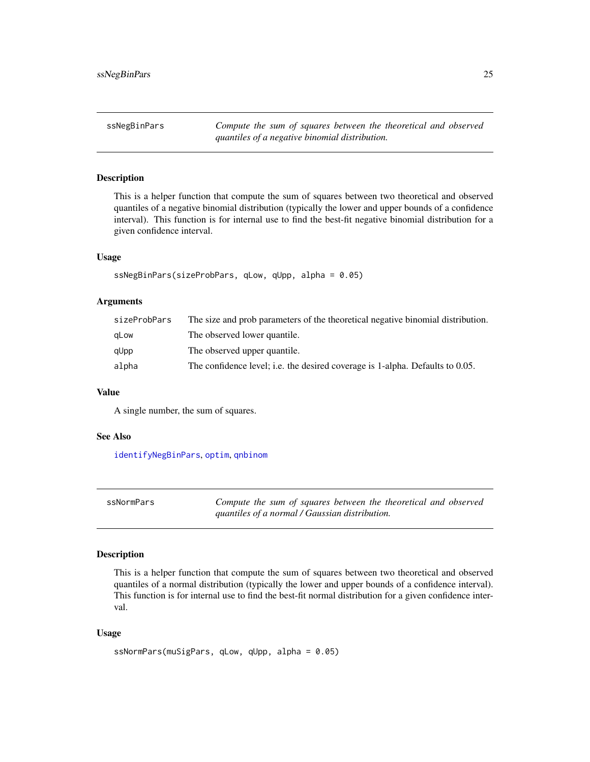<span id="page-24-1"></span><span id="page-24-0"></span>ssNegBinPars *Compute the sum of squares between the theoretical and observed quantiles of a negative binomial distribution.*

#### Description

This is a helper function that compute the sum of squares between two theoretical and observed quantiles of a negative binomial distribution (typically the lower and upper bounds of a confidence interval). This function is for internal use to find the best-fit negative binomial distribution for a given confidence interval.

#### Usage

```
ssNegBinPars(sizeProbPars, qLow, qUpp, alpha = 0.05)
```
#### Arguments

| sizeProbPars | The size and prob parameters of the theoretical negative binomial distribution. |
|--------------|---------------------------------------------------------------------------------|
| gLow         | The observed lower quantile.                                                    |
| qUpp         | The observed upper quantile.                                                    |
| alpha        | The confidence level; i.e. the desired coverage is 1-alpha. Defaults to 0.05.   |

#### Value

A single number, the sum of squares.

#### See Also

[identifyNegBinPars](#page-17-1), [optim](#page-0-0), [qnbinom](#page-0-0)

<span id="page-24-2"></span>

| ssNormPars | Compute the sum of squares between the theoretical and observed |
|------------|-----------------------------------------------------------------|
|            | quantiles of a normal / Gaussian distribution.                  |

#### Description

This is a helper function that compute the sum of squares between two theoretical and observed quantiles of a normal distribution (typically the lower and upper bounds of a confidence interval). This function is for internal use to find the best-fit normal distribution for a given confidence interval.

#### Usage

```
ssNormPars(muSigPars, qLow, qUpp, alpha = 0.05)
```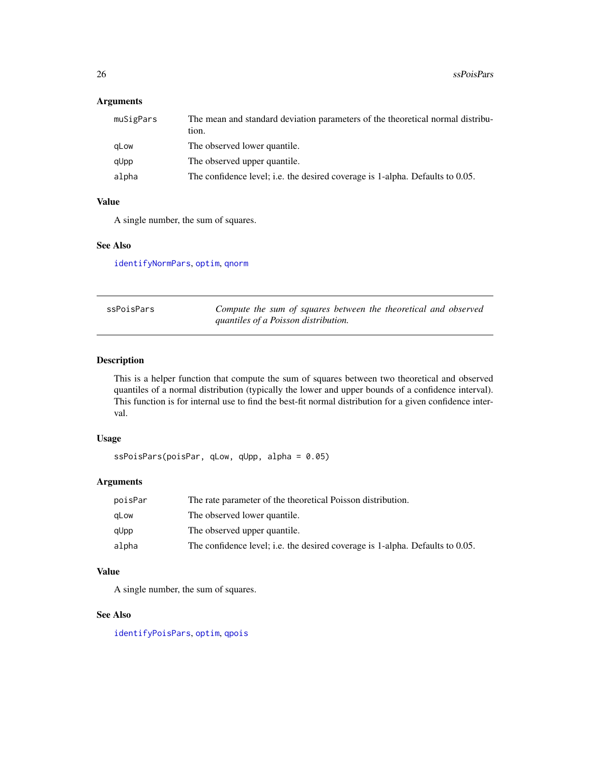#### <span id="page-25-0"></span>Arguments

| muSigPars | The mean and standard deviation parameters of the theoretical normal distribu-<br>tion. |
|-----------|-----------------------------------------------------------------------------------------|
| gLow      | The observed lower quantile.                                                            |
| qUpp      | The observed upper quantile.                                                            |
| alpha     | The confidence level; i.e. the desired coverage is 1-alpha. Defaults to 0.05.           |

#### Value

A single number, the sum of squares.

#### See Also

[identifyNormPars](#page-18-1), [optim](#page-0-0), [qnorm](#page-0-0)

<span id="page-25-1"></span>

| ssPoisPars | Compute the sum of squares between the theoretical and observed |
|------------|-----------------------------------------------------------------|
|            | quantiles of a Poisson distribution.                            |

#### Description

This is a helper function that compute the sum of squares between two theoretical and observed quantiles of a normal distribution (typically the lower and upper bounds of a confidence interval). This function is for internal use to find the best-fit normal distribution for a given confidence interval.

#### Usage

```
ssPoisPars(poisPar, qLow, qUpp, alpha = 0.05)
```
#### Arguments

| poisPar | The rate parameter of the theoretical Poisson distribution.                   |
|---------|-------------------------------------------------------------------------------|
| aLow    | The observed lower quantile.                                                  |
| qUpp    | The observed upper quantile.                                                  |
| alpha   | The confidence level; i.e. the desired coverage is 1-alpha. Defaults to 0.05. |

### Value

A single number, the sum of squares.

#### See Also

[identifyPoisPars](#page-19-1), [optim](#page-0-0), [qpois](#page-0-0)